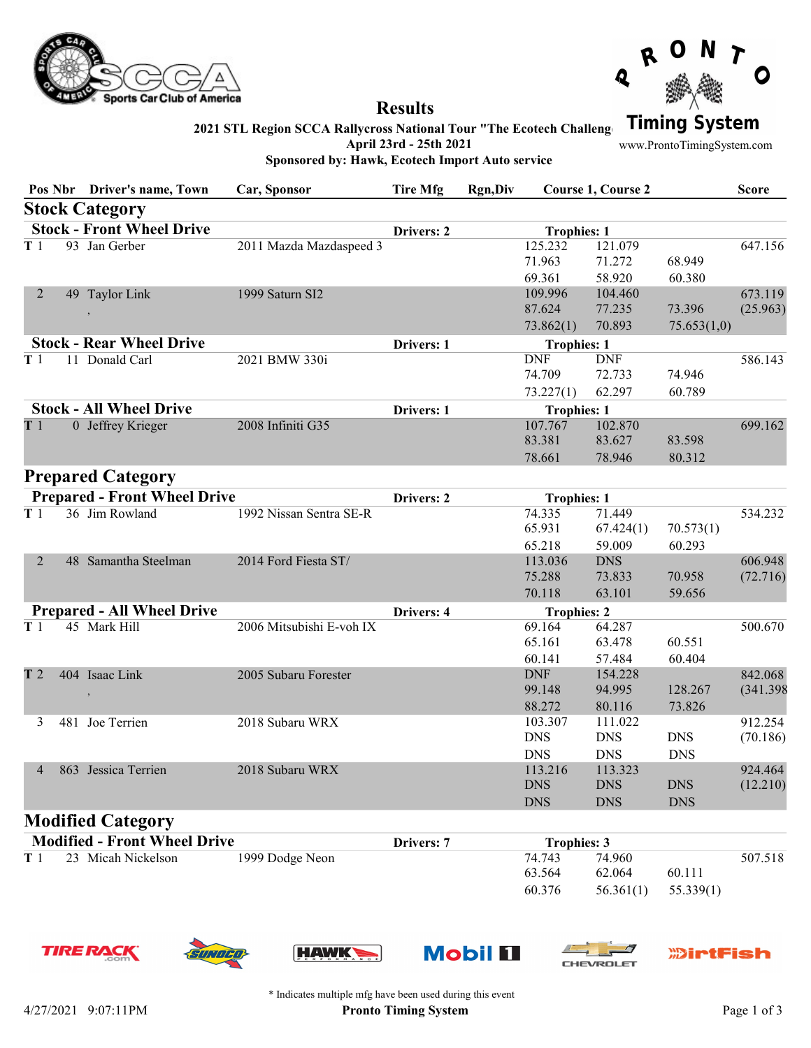



## **Results**

Sponsored by: Hawk, Ecotech Import Auto service

2021 STL Region SCCA Rallycross National Tour "The Ecotech Challeng **Timing System** 

April 23rd - 25th 2021

www.ProntoTimingSystem.com

Pos Nbr Driver's name, Town Car, Sponsor Tire Mfg Rgn,Div Course 1, Course 2 Score Stock Category Stock - Front Wheel Drive **Drivers: 2** Trophies: 1 T 1 93 Jan Gerber 2011 Mazda Mazdaspeed 3 125.232 121.079 647.156 71.963 71.272 68.949 69.361 58.920 60.380 2 49 Taylor Link 1999 Saturn SI2 , the contract of the contract of the contract of the contract of the contract of the contract of the contract of the contract of the contract of the contract of the contract of the contract of the contract of the contrac 109.996 104.460 673.119 87.624 77.235 73.396 73.862(1) 70.893 75.653(1,0) Stock - Rear Wheel Drive **Drivers: 1** Drivers: 1 Trophies: 1 T 1 11 Donald Carl 2021 BMW 330i DNF DNF 586.143 74.709 72.733 74.946 73.227(1) 62.297 60.789 Stock - All Wheel Drive **Drivers: 1** Drivers: 1 Trophies: 1 T 1 0 Jeffrey Krieger 2008 Infiniti G35 107.767 102.870 699.162 83.381 83.627 83.598 78.661 78.946 80.312 Prepared Category Prepared - Front Wheel Drive Drive Drivers: 2 Trophies: 1 T 1 36 Jim Rowland 1992 Nissan Sentra SE-R 74.335 71.449 534.232 65.931 67.424(1) 70.573(1) 65.218 59.009 60.293 2 48 Samantha Steelman 2014 Ford Fiesta ST/ (72.716) 113.036 DNS 606.948 75.288 73.833 70.958 70.118 63.101 59.656 Prepared - All Wheel Drive **Drivers: 4** Drivers: 4 Trophies: 2 T 1 45 Mark Hill 2006 Mitsubishi E-voh IX 69.164 64.287 500.670 65.161 63.478 60.551 60.141 57.484 60.404 T 2 404 Isaac Link 2005 Subaru Forester , the contract of the contract of the contract of the contract of the contract of the contract of the contract of the contract of the contract of the contract of the contract of the contract of the contract of the contrac DNF 154.228 842.068 99.148 94.995 128.267 88.272 80.116 73.826 3 481 Joe Terrien 2018 Subaru WRX (70.186) 103.307 111.022 912.254 DNS DNS DNS DNS DNS DNS 4 863 Jessica Terrien 2018 Subaru WRX (12.210) 113.216 113.323 924.464 DNS DNS DNS

#### Modified Category

| <b>Modified - Front Wheel Drive</b> |                    |                 | <b>Drivers: 7</b> | <b>Trophies: 3</b> |        |                         |         |
|-------------------------------------|--------------------|-----------------|-------------------|--------------------|--------|-------------------------|---------|
| T1                                  | 23 Micah Nickelson | 1999 Dodge Neon |                   | 74.743             | 74.960 |                         | 507.518 |
|                                     |                    |                 |                   | 63.564             | 62.064 | 60.111                  |         |
|                                     |                    |                 |                   | 60.376             |        | $56.361(1)$ $55.339(1)$ |         |

**TIRE RAC** 









DNS DNS DNS



\* Indicates multiple mfg have been used during this event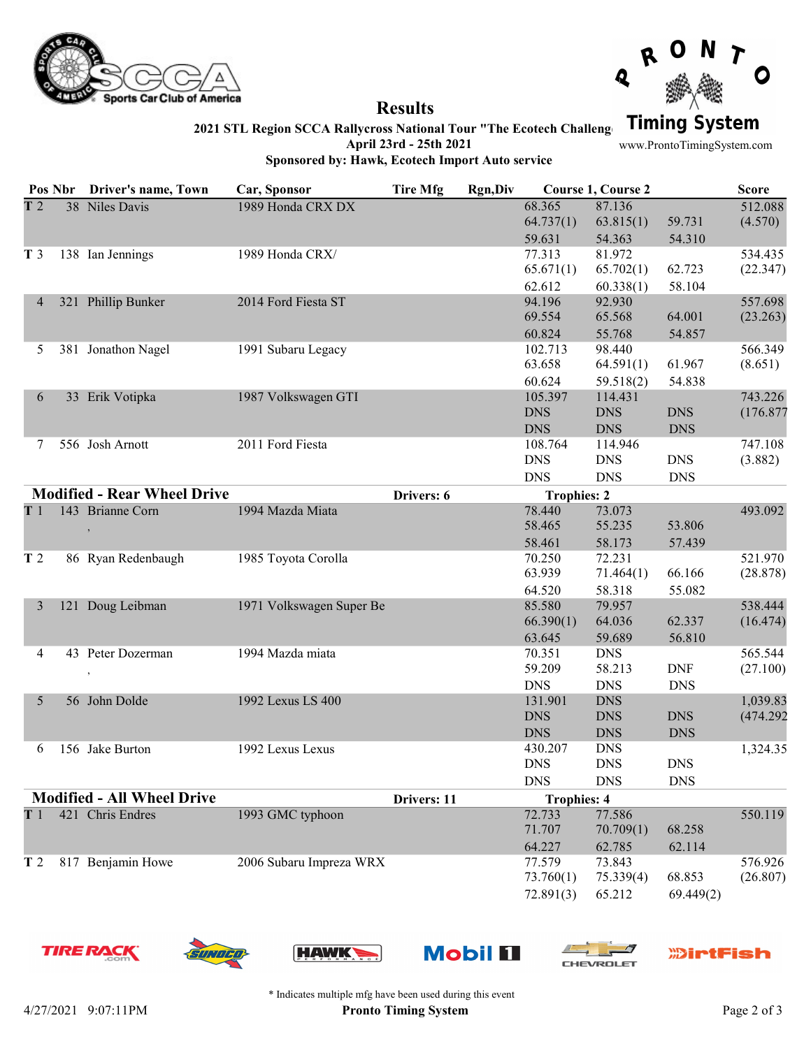



### Results

2021 STL Region SCCA Rallycross National Tour "The Ecotech Challeng Timing System

April 23rd - 25th 2021 Sponsored by: Hawk, Ecotech Import Auto service

www.ProntoTimingSystem.com

|                                   |  | Pos Nbr Driver's name, Town        | Car, Sponsor             | <b>Tire Mfg</b> | Rgn, Div           |                    | Course 1, Course 2 |            | <b>Score</b> |
|-----------------------------------|--|------------------------------------|--------------------------|-----------------|--------------------|--------------------|--------------------|------------|--------------|
| T <sub>2</sub>                    |  | 38 Niles Davis                     | 1989 Honda CRX DX        |                 |                    | 68.365             | 87.136             |            | 512.088      |
|                                   |  |                                    |                          |                 |                    | 64.737(1)          | 63.815(1)          | 59.731     | (4.570)      |
|                                   |  |                                    |                          |                 |                    | 59.631             | 54.363             | 54.310     |              |
| T <sub>3</sub>                    |  | 138 Ian Jennings                   | 1989 Honda CRX/          |                 |                    | 77.313             | 81.972             |            | 534.435      |
|                                   |  |                                    |                          |                 |                    | 65.671(1)          | 65.702(1)          | 62.723     | (22.347)     |
|                                   |  |                                    |                          |                 |                    | 62.612             | 60.338(1)          | 58.104     |              |
| 4                                 |  | 321 Phillip Bunker                 | 2014 Ford Fiesta ST      |                 |                    | 94.196             | 92.930             |            | 557.698      |
|                                   |  |                                    |                          |                 |                    | 69.554             | 65.568             | 64.001     | (23.263)     |
|                                   |  |                                    |                          |                 |                    | 60.824             | 55.768             | 54.857     |              |
| 5.                                |  | 381 Jonathon Nagel                 | 1991 Subaru Legacy       |                 |                    | 102.713            | 98.440             |            | 566.349      |
|                                   |  |                                    |                          |                 |                    | 63.658             | 64.591(1)          | 61.967     | (8.651)      |
|                                   |  |                                    |                          |                 |                    | 60.624             | 59.518(2)          | 54.838     |              |
| 6                                 |  | 33 Erik Votipka                    | 1987 Volkswagen GTI      |                 |                    | 105.397            | 114.431            |            | 743.226      |
|                                   |  |                                    |                          |                 |                    | <b>DNS</b>         | <b>DNS</b>         | <b>DNS</b> | (176.877     |
|                                   |  |                                    |                          |                 |                    | <b>DNS</b>         | <b>DNS</b>         | <b>DNS</b> |              |
| 7                                 |  | 556 Josh Arnott                    | 2011 Ford Fiesta         |                 |                    | 108.764            | 114.946            |            | 747.108      |
|                                   |  |                                    |                          |                 |                    | <b>DNS</b>         | <b>DNS</b>         | <b>DNS</b> | (3.882)      |
|                                   |  |                                    |                          |                 |                    | <b>DNS</b>         | <b>DNS</b>         | <b>DNS</b> |              |
|                                   |  | <b>Modified - Rear Wheel Drive</b> |                          | Drivers: 6      |                    | <b>Trophies: 2</b> |                    |            |              |
| T1                                |  | 143 Brianne Corn                   | 1994 Mazda Miata         |                 |                    | 78.440             | 73.073             |            | 493.092      |
|                                   |  |                                    |                          |                 |                    | 58.465             | 55.235             | 53.806     |              |
|                                   |  |                                    |                          |                 |                    | 58.461             | 58.173             | 57.439     |              |
| T <sub>2</sub>                    |  | 86 Ryan Redenbaugh                 | 1985 Toyota Corolla      |                 |                    | 70.250             | 72.231             |            | 521.970      |
|                                   |  |                                    |                          |                 |                    | 63.939             | 71.464(1)          | 66.166     | (28.878)     |
|                                   |  |                                    |                          |                 |                    | 64.520             | 58.318             | 55.082     |              |
| 3                                 |  | 121 Doug Leibman                   | 1971 Volkswagen Super Be |                 |                    | 85.580             | 79.957             |            | 538.444      |
|                                   |  |                                    |                          |                 |                    | 66.390(1)          | 64.036             | 62.337     | (16.474)     |
|                                   |  |                                    |                          |                 |                    | 63.645             | 59.689             | 56.810     |              |
| 4                                 |  | 43 Peter Dozerman                  | 1994 Mazda miata         |                 |                    | 70.351             | <b>DNS</b>         |            | 565.544      |
|                                   |  | $\,$                               |                          |                 |                    | 59.209             | 58.213             | <b>DNF</b> | (27.100)     |
|                                   |  |                                    |                          |                 |                    | <b>DNS</b>         | <b>DNS</b>         | <b>DNS</b> |              |
| 5                                 |  | 56 John Dolde                      | 1992 Lexus LS 400        |                 |                    | 131.901            | <b>DNS</b>         |            | 1,039.83     |
|                                   |  |                                    |                          |                 |                    | <b>DNS</b>         | <b>DNS</b>         | <b>DNS</b> | (474.292)    |
|                                   |  |                                    |                          |                 |                    | <b>DNS</b>         | <b>DNS</b>         | <b>DNS</b> |              |
| 6                                 |  | 156 Jake Burton                    | 1992 Lexus Lexus         |                 |                    | 430.207            | <b>DNS</b>         |            | 1,324.35     |
|                                   |  |                                    |                          |                 |                    | <b>DNS</b>         | <b>DNS</b>         | <b>DNS</b> |              |
|                                   |  |                                    |                          |                 |                    | <b>DNS</b>         | <b>DNS</b>         | <b>DNS</b> |              |
| <b>Modified - All Wheel Drive</b> |  |                                    | Drivers: 11              |                 | <b>Trophies: 4</b> |                    |                    |            |              |
| T1                                |  | 421 Chris Endres                   | 1993 GMC typhoon         |                 |                    | 72.733             | 77.586             |            | 550.119      |
|                                   |  |                                    |                          |                 |                    | 71.707             | 70.709(1)          | 68.258     |              |
|                                   |  |                                    |                          |                 |                    | 64.227             | 62.785             | 62.114     |              |
| T <sub>2</sub>                    |  | 817 Benjamin Howe                  | 2006 Subaru Impreza WRX  |                 |                    | 77.579             | 73.843             |            | 576.926      |
|                                   |  |                                    |                          |                 |                    | 73.760(1)          | 75.339(4)          | 68.853     | (26.807)     |
|                                   |  |                                    |                          |                 |                    | 72.891(3)          | 65.212             | 69.449(2)  |              |













\* Indicates multiple mfg have been used during this event